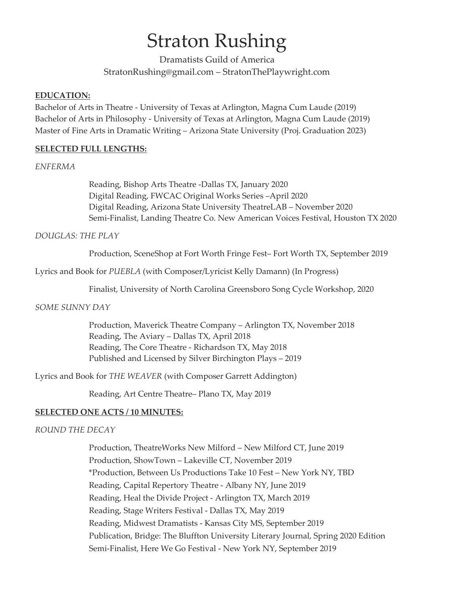# Straton Rushing

Dramatists Guild of America StratonRushing@gmail.com – StratonThePlaywright.com

## EDUCATION:

Bachelor of Arts in Theatre - University of Texas at Arlington, Magna Cum Laude (2019) Bachelor of Arts in Philosophy - University of Texas at Arlington, Magna Cum Laude (2019) Master of Fine Arts in Dramatic Writing – Arizona State University (Proj. Graduation 2023)

# SELECTED FULL LENGTHS:

ENFERMA

Reading, Bishop Arts Theatre -Dallas TX, January 2020 Digital Reading, FWCAC Original Works Series –April 2020 Digital Reading, Arizona State University TheatreLAB – November 2020 Semi-Finalist, Landing Theatre Co. New American Voices Festival, Houston TX 2020

DOUGLAS: THE PLAY

Production, SceneShop at Fort Worth Fringe Fest– Fort Worth TX, September 2019

Lyrics and Book for PUEBLA (with Composer/Lyricist Kelly Damann) (In Progress)

Finalist, University of North Carolina Greensboro Song Cycle Workshop, 2020

SOME SUNNY DAY

Production, Maverick Theatre Company – Arlington TX, November 2018 Reading, The Aviary – Dallas TX, April 2018 Reading, The Core Theatre - Richardson TX, May 2018 Published and Licensed by Silver Birchington Plays – 2019

Lyrics and Book for THE WEAVER (with Composer Garrett Addington)

Reading, Art Centre Theatre– Plano TX, May 2019

# SELECTED ONE ACTS / 10 MINUTES:

## ROUND THE DECAY

Production, TheatreWorks New Milford – New Milford CT, June 2019 Production, ShowTown – Lakeville CT, November 2019 \*Production, Between Us Productions Take 10 Fest – New York NY, TBD Reading, Capital Repertory Theatre - Albany NY, June 2019 Reading, Heal the Divide Project - Arlington TX, March 2019 Reading, Stage Writers Festival - Dallas TX, May 2019 Reading, Midwest Dramatists - Kansas City MS, September 2019 Publication, Bridge: The Bluffton University Literary Journal, Spring 2020 Edition Semi-Finalist, Here We Go Festival - New York NY, September 2019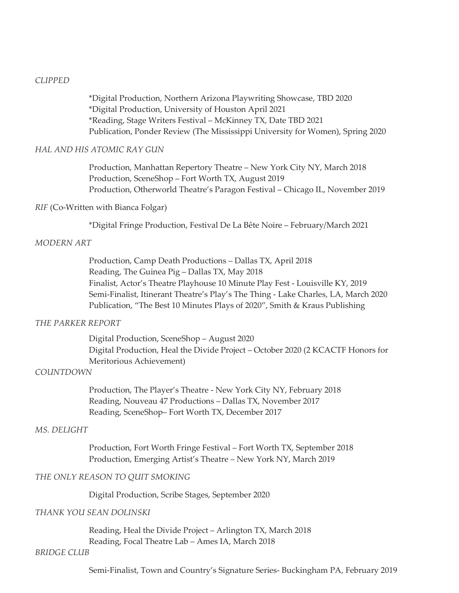#### CLIPPED

\*Digital Production, Northern Arizona Playwriting Showcase, TBD 2020 \*Digital Production, University of Houston April 2021 \*Reading, Stage Writers Festival – McKinney TX, Date TBD 2021 Publication, Ponder Review (The Mississippi University for Women), Spring 2020

## HAL AND HIS ATOMIC RAY GUN

Production, Manhattan Repertory Theatre – New York City NY, March 2018 Production, SceneShop – Fort Worth TX, August 2019 Production, Otherworld Theatre's Paragon Festival – Chicago IL, November 2019

#### RIF (Co-Written with Bianca Folgar)

\*Digital Fringe Production, Festival De La Bête Noire – February/March 2021

#### MODERN ART

Production, Camp Death Productions – Dallas TX, April 2018 Reading, The Guinea Pig – Dallas TX, May 2018 Finalist, Actor's Theatre Playhouse 10 Minute Play Fest - Louisville KY, 2019 Semi-Finalist, Itinerant Theatre's Play's The Thing - Lake Charles, LA, March 2020 Publication, "The Best 10 Minutes Plays of 2020", Smith & Kraus Publishing

## THE PARKER REPORT

Digital Production, SceneShop – August 2020 Digital Production, Heal the Divide Project – October 2020 (2 KCACTF Honors for Meritorious Achievement)

#### COUNTDOWN

Production, The Player's Theatre - New York City NY, February 2018 Reading, Nouveau 47 Productions – Dallas TX, November 2017 Reading, SceneShop– Fort Worth TX, December 2017

## MS. DELIGHT

Production, Fort Worth Fringe Festival – Fort Worth TX, September 2018 Production, Emerging Artist's Theatre – New York NY, March 2019

#### THE ONLY REASON TO QUIT SMOKING

Digital Production, Scribe Stages, September 2020

#### THANK YOU SEAN DOLINSKI

Reading, Heal the Divide Project – Arlington TX, March 2018 Reading, Focal Theatre Lab – Ames IA, March 2018

## BRIDGE CLUB

Semi-Finalist, Town and Country's Signature Series- Buckingham PA, February 2019